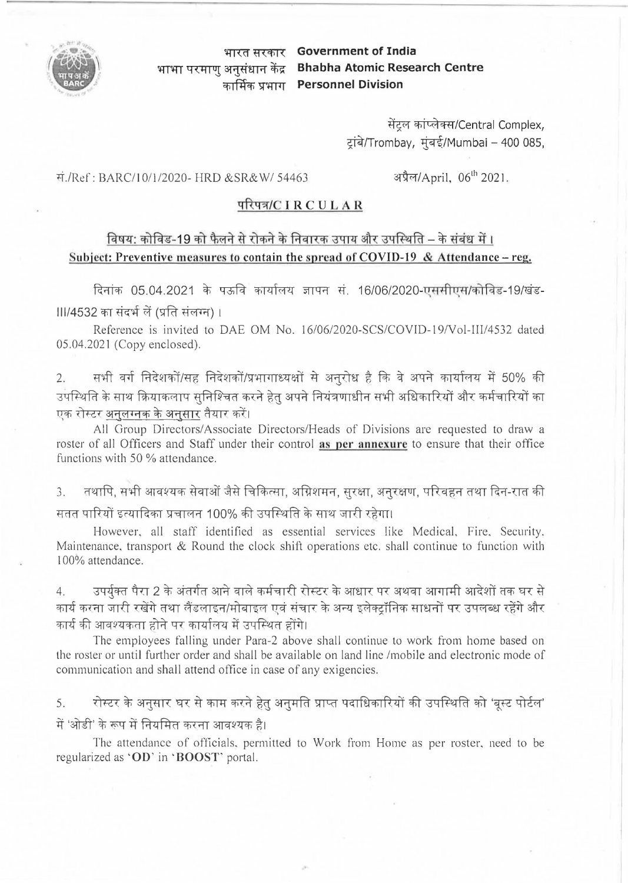

**mm ft <cfi 1 < Government of India mm q <41** ~ ~m,=r ~ **Bhabha Atomic Research Centre cfiTPtcfi >T'+fflT Personnel Division** 

> सेंटल कांप्लेक्स/Central Complex, ट्रांबे/Trombay, मुंबई/Mumbai – 400 085,

"ff./Ref : BARC/10/1/2020- HRD &SR&W/ 54463

अप्रैल/April, 06<sup>th</sup> 2021.

## ~ / **IR CULA R**

## विषय: कोविड-19 को फैलने से रोकने के निवारक उपाय और उपस्थिति – के संबंध में । **Subject: Preventive measures to contain the spread of COVID-19 & Attendance – reg.**

दिनांक 05.04.2021 के पऊवि कार्यालय ज्ञापन सं. 16/06/2020-एससीएस/कोविड-19/खंडlll/4532 का संदर्भ लें (प्रति संलग्न) ।

Reference is invited to DAE OM No. 16/06/2020-SCS/COVID-19/Vol-III/4532 dated 05.04.2021 (Copy enclosed).

2. सभी वर्ग निदेशकों/सह निदेशकों/प्रभागाध्यक्षों से अनुरोध है कि वे अपने कार्यालय में 50% की उपस्थिति के साथ क्रियाकलाप सुनिश्चित करने हेत अपने नियंत्रणाधीन सभी अधिकारियों और कर्मचारियों का **एक रोस्टर अनुलग्नक के अनु<u>सार</u> तैयार** करें।

All Group Directors/ Associate Directors/Heads of Divisions are requested to draw a roster of all Officers and Staff under their control **as per anncxurc** to ensure that their office functions with 50 % attendance.

3. तथापि, सभी आवश्यक सेवाओं जैसे चिकित्सा, अग्निशमन, सुरक्षा, अनुरक्षण, परिवहन तथा दिन-रात की सतत पारियों इत्यादिका प्रचालन 100% की उपस्थिति के साथ जारी रहेगा।

However, all staff identified as essential services like Medical, Fire, Security. Maintenance, transport & Round the clock shift operations etc. shall continue to function with l 00% attendance.

4. उपर्युक्त पैरा 2 के अंतर्गत आने वाले कर्मचारी रोस्टर के आधार पर अथवा आगामी आदेशों तक घर से कार्य करना जारी रखेंगे तथा लैंडलाइन/मोबाइल एवं संचार के अन्य इलेक्ट्रॉनिक साधनों पर उपलब्ध रहेंगे और कार्य की आवश्यकता होने पर कार्यालय में उपस्थित होंगे।

The employees falling under Para-2 above shall continue to work from home based on the roster or until further order and shall be available on land line /mobile and electronic mode of communication and shall attend office in case of any exigencies.

5. रोस्टर के अनुसार घर से काम करने हेतु अनुमति प्राप्त पदाधिकारियों की उपस्थिति को 'बूस्ट पोर्टल' में 'ओडी' के रूप में नियमित करना आवश्यक है।

The attendance of officials, permitted to Work from Home as per roster, need to be regularized as **'OD'** in· **BOOST'** portal.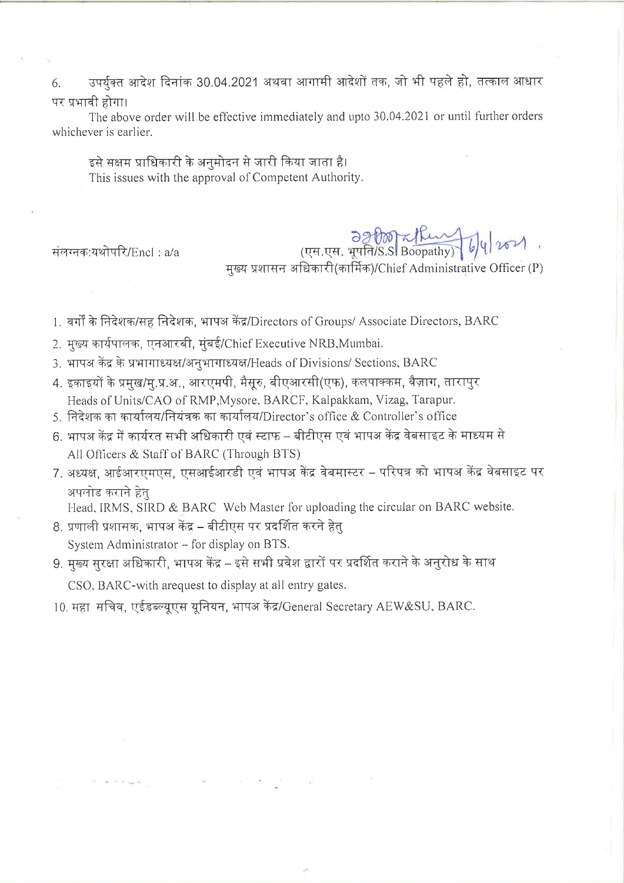उपर्यक्त आदेश दिनांक 30,04.2021 अथवा आगामी आदेशों तक, जो भी पहले हो, तत्काल आधार 6. पर प्रभावी होगा।

The above order will be effective immediately and upto 30.04.2021 or until further orders whichever is earlier.

इसे सक्षम प्राधिकारी के अनुमोदन से जारी किया जाता है। This issues with the approval of Competent Authority.

संलग्नक:यथोपरि/Encl: a/a

OSPOOLIUM 6/4/2021 मुख्य प्रशासन अधिकारी(कार्मिक)/Chief Administrative Officer (P)

1. वर्गों के निदेशक/सह निदेशक, भाषअ केंद्र/Directors of Groups/ Associate Directors, BARC

- 2. मुख्य कार्यपालक, एनआरबी, मुंबई/Chief Executive NRB, Mumbai.
- 3. भापअ केंद्र के प्रभागाध्यक्ष/अनुभागाध्यक्ष/Heads of Divisions/ Sections, BARC
- 4. इकाइयों के प्रमुख/मु.प्र.अ., आरएमपी, मैसूरु, बीएआरसी(एफ), कलपाक्कम, वैज़ाग, तारापुर Heads of Units/CAO of RMP, Mysore, BARCF, Kalpakkam, Vizag, Tarapur.
- 5. निदेशक का कार्यालय/नियंत्रक का कार्यालय/Director's office & Controller's office
- 6. भापअ केंद्र में कार्यरत सभी अधिकारी एवं स्टाफ बीटीएस एवं भापअ केंद्र वेबसाइट के माध्यम से All Officers & Staff of BARC (Through BTS)
- 7. अध्यक्ष, आईआरएमएस, एसआईआरडी एवं भाषअ केंद्र वेबमास्टर परिपत्र को भाषअ केंद्र वेबसाइट पर अपलोड कराने हेत

Head, IRMS, SIRD & BARC Web Master for uploading the circular on BARC website.

- 8. प्रणाली प्रशासक, भापअ केंद्र बीटीएस पर प्रदर्शित करने हेतु System Administrator - for display on BTS.
- 9. मुख्य सुरक्षा अधिकारी, भापअ केंद्र इसे सभी प्रवेश द्वारों पर प्रदर्शित कराने के अनुरोध के साथ CSO, BARC-with arequest to display at all entry gates.
- 10. महा सचिव, एईडब्ल्यूएस यूनियन, भापअ केंद्र/General Secretary AEW&SU, BARC.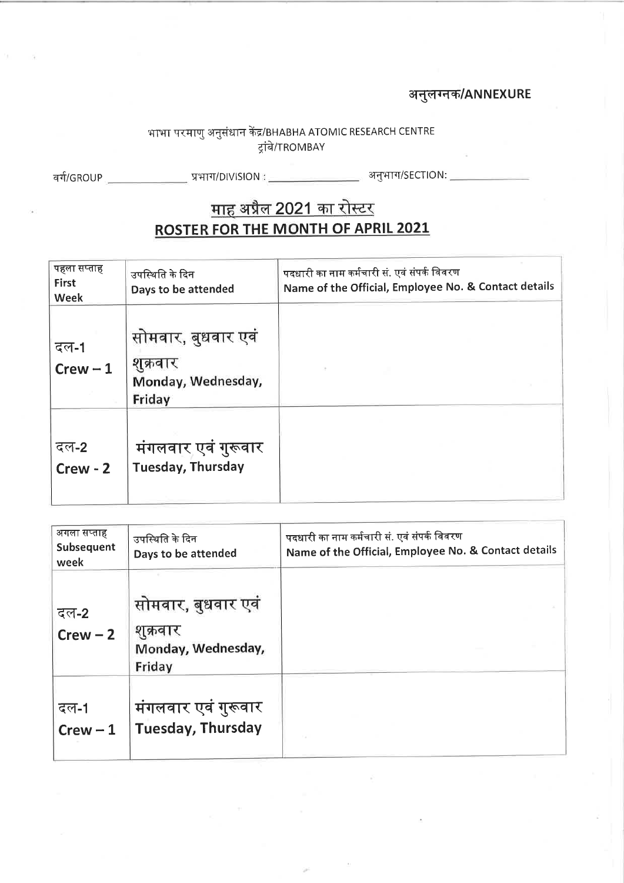## अनुलग्नक/ANNEXURE

# भाभा परमाणु अनुसंधान केंद्र/BHABHA ATOMIC RESEARCH CENTRE<br>ट्रांबे/TROMBAY

वर्ग/GROUP \_\_\_\_\_\_\_\_\_\_\_\_\_\_\_\_ प्रभाग/DIVISION : \_\_\_\_\_\_\_\_\_\_\_\_\_\_\_\_\_\_\_\_\_\_\_\_ अनुभाग/SECTION: \_\_

## <u>माह अप्रैल 2021 का रोस्टर</u> **ROSTER FOR THE MONTH OF APRIL 2021**

| पहला सप्ताह<br>First<br><b>Week</b> | उपस्थिति के दिन<br>Days to be attended                         | पदधारी का नाम कर्मचारी सं. एवं संपर्क विवरण<br>Name of the Official, Employee No. & Contact details |
|-------------------------------------|----------------------------------------------------------------|-----------------------------------------------------------------------------------------------------|
| दल-1<br>$Crew - 1$                  | सोमवार, बुधवार एवं<br>शुक्रवार<br>Monday, Wednesday,<br>Friday |                                                                                                     |
| दल-2<br>$Crew - 2$                  | मंगलवार एवं गुरूवार<br>Tuesday, Thursday                       |                                                                                                     |

| अगला सप्ताह<br>Subsequent<br>week | उपस्थिति के दिन<br>Days to be attended                         | पदधारी का नाम कर्मचारी सं. एवं संपर्क विवरण<br>Name of the Official, Employee No. & Contact details |
|-----------------------------------|----------------------------------------------------------------|-----------------------------------------------------------------------------------------------------|
| दल-2<br>$Crew - 2$                | सोमवार, बुधवार एवं<br>शुक्रवार<br>Monday, Wednesday,<br>Friday |                                                                                                     |
| दल-1<br>$Crew - 1$                | मंगलवार एवं गुरूवार<br><b>Tuesday, Thursday</b>                |                                                                                                     |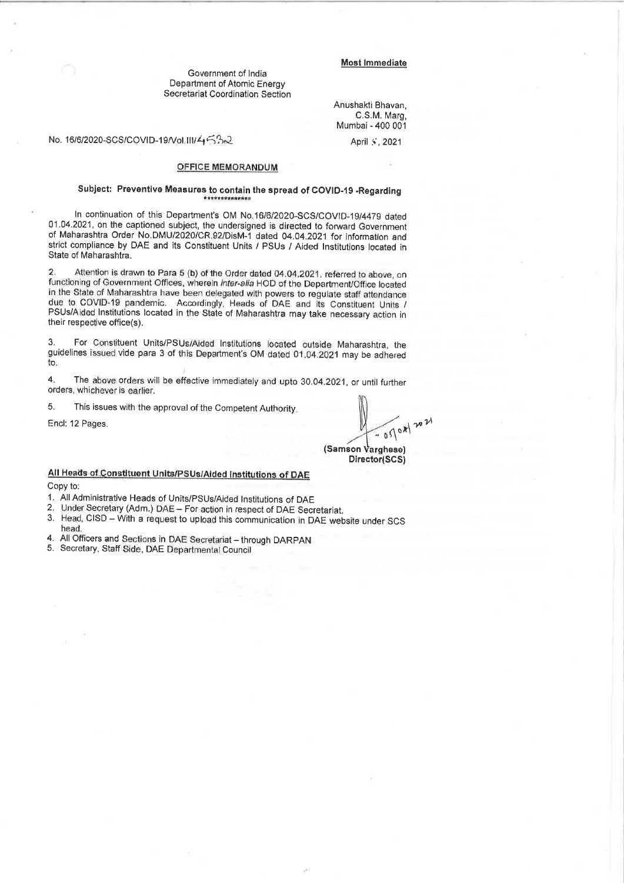## **Most Immediate**

Government of India Department of Atomic Energy Secretariat Coordination Section

> Anushakti Bhavan, C.S.M. Maro. Mumbai - 400 001

No. 16/6/2020-SCS/COVID-19/Vol.III/存后%2

April 5, 2021

## **OFFICE MEMORANDUM**

## Subject: Preventive Measures to contain the spread of COVID-19 -Regarding

In continuation of this Department's OM No.16/6/2020-SCS/COVID-19/4479 dated 01.04.2021, on the captioned subject, the undersigned is directed to forward Government of Maharashtra Order No.DMU/2020/CR.92/DisM-1 dated 04.04.2021 for information and strict compliance by DAE and its Constituent Units / PSUs / Aided Institutions located in State of Maharashtra.

 $\overline{2}$ Attention is drawn to Para 5 (b) of the Order dated 04.04.2021, referred to above, on functioning of Government Offices, wherein inter-alla HOD of the Department/Office located in the State of Maharashtra have been delegated with powers to regulate staff attendance due to COVID-19 pandemic. Accordingly, Heads of DAE and its Constituent Units / PSUs/Aided Institutions located in the State of Maharashtra may take necessary action in their respective office(s).

 $3.$ For Constituent Units/PSUs/Aided Institutions located outside Maharashtra, the guidelines issued vide para 3 of this Department's OM dated 01.04.2021 may be adhered to.

The above orders will be effective immediately and upto 30.04.2021, or until further  $\overline{\bf{4}}$ orders, whichever is earlier.

5. This issues with the approval of the Competent Authority.

Encl: 12 Pages.

 $=0500002024$ (Samson Varghese) Director(SCS)

## All Heads of Constituent Units/PSUs/Aided Institutions of DAE

Copy to:

1. All Administrative Heads of Units/PSUs/Aided Institutions of DAE

- Under Secretary (Adm.) DAE For action in respect of DAE Secretariat.  $\overline{2}$
- Head, CISD With a request to upload this communication in DAE website under SCS 3. head
- All Officers and Sections in DAE Secretariat through DARPAN  $\overline{4}$
- 5. Secretary, Staff Side, DAE Departmental Council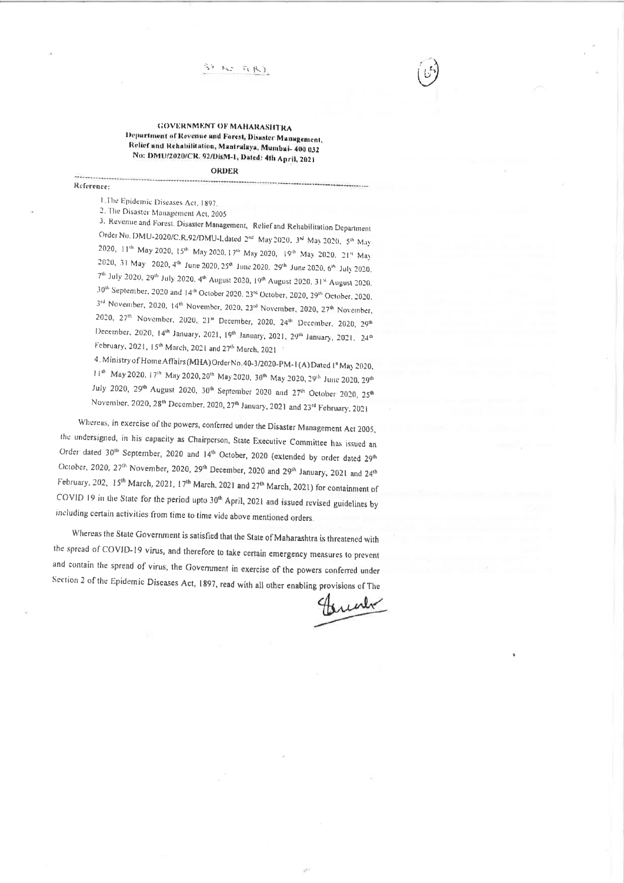### **GOVERNMENT OF MAHARASHTRA** Department of Revenue and Forest, Disaster Management, Relief and Rehabilitation, Mantralaya, Mumbai- 400 032 No: DMU/2020/CR. 92/DisM-1, Dated: 4th April, 2021

#### **ORDER**

#### Reference:

1.The Epidemic Diseases Act, 1897

2. The Disaster Management Act, 2005

3. Revenue and Forest. Disaster Management, Relief and Rehabilitation Department Order No. DMU-2020/C.R.92/DMU-I, dated 2nd May 2020, 3<sup>rd</sup> May 2020, 5th May 2020, 11th May 2020, 15th May 2020. 17th May 2020, 19th May 2020. 21th May 2020, 31 May 2020, 4th June 2020, 25th June 2020, 29th June 2020, 6th July 2020, 7th July 2020, 29th July 2020, 4th August 2020, 19th August 2020, 31<sup>st</sup> August 2020. 30th September, 2020 and 14th October 2020, 23td October, 2020, 29th October, 2020, 3<sup>rd</sup> November, 2020, 14<sup>th</sup> November, 2020, 23<sup>rd</sup> November, 2020, 27<sup>th</sup> November, 2020, 27th November, 2020, 21<sup>M</sup> December, 2020, 24<sup>th</sup> December, 2020, 29<sup>th</sup> December, 2020, 14th January, 2021, 19th January, 2021, 29th January, 2021, 24th February, 2021, 15th March, 2021 and 27th March, 2021

4. Ministry of Home Affairs (MHA) Order No. 40-3/2020-PM-1 (A) Dated 1<sup>4</sup> May 2020, 11th May 2020, 17th May 2020, 20<sup>th</sup> May 2020, 30<sup>th</sup> May 2020, 29<sup>th</sup> June 2020, 29th July 2020, 29th August 2020, 30th September 2020 and 27th October 2020, 25th November, 2020, 28<sup>th</sup> December, 2020, 27<sup>th</sup> January, 2021 and 23<sup>rd</sup> February, 2021

Whereas, in exercise of the powers, conferred under the Disaster Management Act 2005, the undersigned, in his capacity as Chairperson, State Executive Committee has issued an Order dated 30<sup>th</sup> September, 2020 and 14<sup>th</sup> October, 2020 (extended by order dated 29<sup>th</sup> October, 2020, 27<sup>th</sup> November, 2020, 29<sup>th</sup> December, 2020 and 29<sup>th</sup> January, 2021 and 24<sup>th</sup> February, 202, 15<sup>th</sup> March, 2021, 17<sup>th</sup> March, 2021 and 27<sup>th</sup> March, 2021) for containment of COVID 19 in the State for the period upto 30<sup>th</sup> April, 2021 and issued revised guidelines by including certain activities from time to time vide above mentioned orders.

Whereas the State Government is satisfied that the State of Maharashtra is threatened with the spread of COVID-19 virus, and therefore to take certain emergency measures to prevent and contain the spread of virus, the Government in exercise of the powers conferred under Section 2 of the Epidemic Diseases Act, 1897, read with all other enabling provisions of The

torial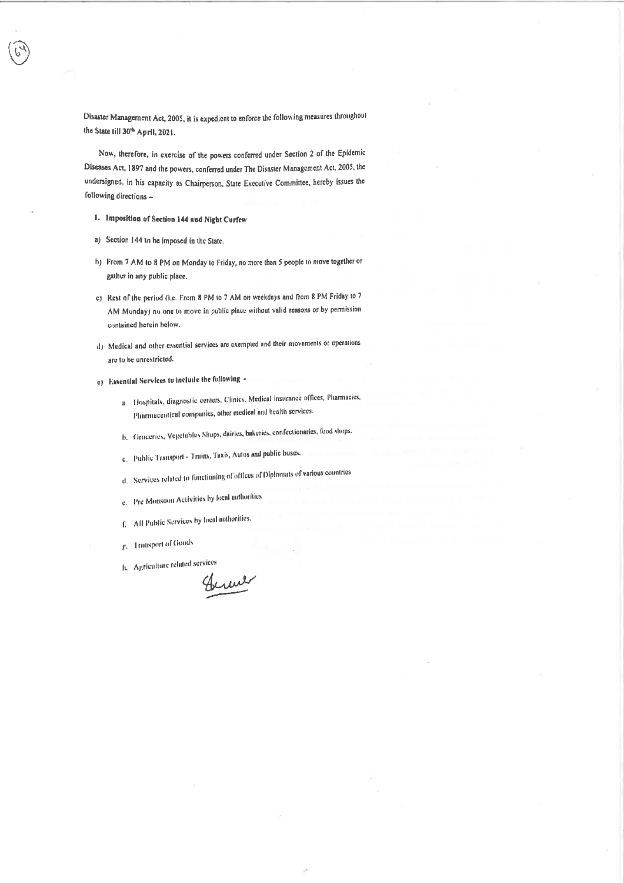Disaster Management Act, 2005, it is expedient to enforce the following measures throughout the State till 30th April, 2021.

Now, therefore, in exercise of the powers conferred under Section 2 of the Epidemic Diseases Act, 1897 and the powers, conferred under The Disaster Management Act, 2005, the undersigned, in his capacity as Chairperson, State Executive Committee, hereby issues the following directions-

- 1. Imposition of Section 144 and Night Curfew
- a) Section 144 to be imposed in the State.
- b) From 7 AM to 8 PM on Monday to Friday, no more than 5 people to move together or gather in any public place.
- c) Rest of the period (i.e. From 8 PM to 7 AM on weekdays and from 8 PM Friday to 7 AM Monday) no one to move in public place without valid reasons or by permission contained herein below.
- d) Medical and other essential services are exempted and their movements or operations are to be unrestricted.
- e) Essential Services to include the following
	- a. Hospitals, diagnostic centers, Clinics, Medical insurance offices, Pharmacies, Pharmaceutical companies, other medical and health services.
	- b. Groceries, Vegetables Shops, dairies, baketies, confectionaries, food shops.
	- c. Public Transport Trains, Taxis, Autos and public buses.
	- d. Services related to functioning of offices of Diplomats of various countries
	- e. Pre Monsoon Activities by local authorities
	- f. All Public Services by local authorities.
	- P. Transport of Goods
	- h. Agriculture related services

Chrone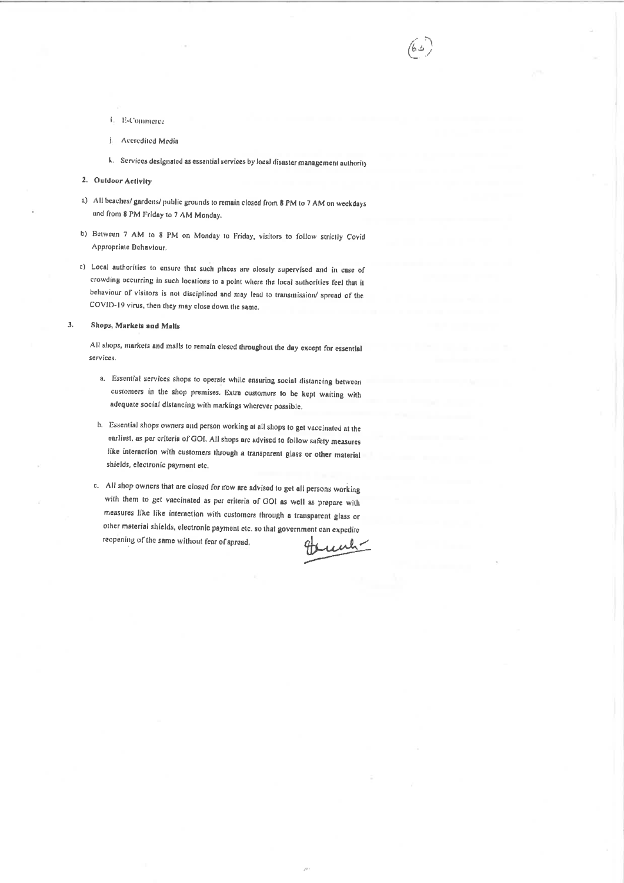- i. E-Commerce
- j Accredited Media
- k. Services designated as essential services by local disaster management authority

 $/6.4$ 

- 2. Outdoor Activity
- a) All beaches/ gardens/ public grounds to remain closed from 8 PM to 7 AM on weekdays and from 8 PM Friday to 7 AM Monday.
- b) Between 7 AM to 8 PM on Monday to Friday, visitors to follow strictly Covid Appropriate Behaviour.
- c) Local authorities to ensure that such places are closely supervised and in case of crowding occurring in such locations to a point where the local authorities feel that it behaviour of visitors is not disciplined and may lead to transmission/ spread of the COVID-19 virus, then they may close down the same.

 $\overline{3}$ . Shops, Markets and Malls

> All shops, markets and malls to remain closed throughout the day except for essential services.

- a. Essential services shops to operate while ensuring social distancing between customers in the shop premises. Extra customers to be kept waiting with adequate social distancing with markings wherever possible.
- b. Essential shops owners and person working at all shops to get vaccinated at the earliest, as per criteria of GOI. All shops are advised to follow safety measures like interaction with customers through a transparent glass or other material shields, electronic payment etc.
- c. All shop owners that are closed for now are advised to get all persons working with them to get vaccinated as per criteria of GOI as well as prepare with measures like like interaction with customers through a transparent glass or other material shields, electronic payment etc. so that government can expedite reopening of the same without fear of spread. unh-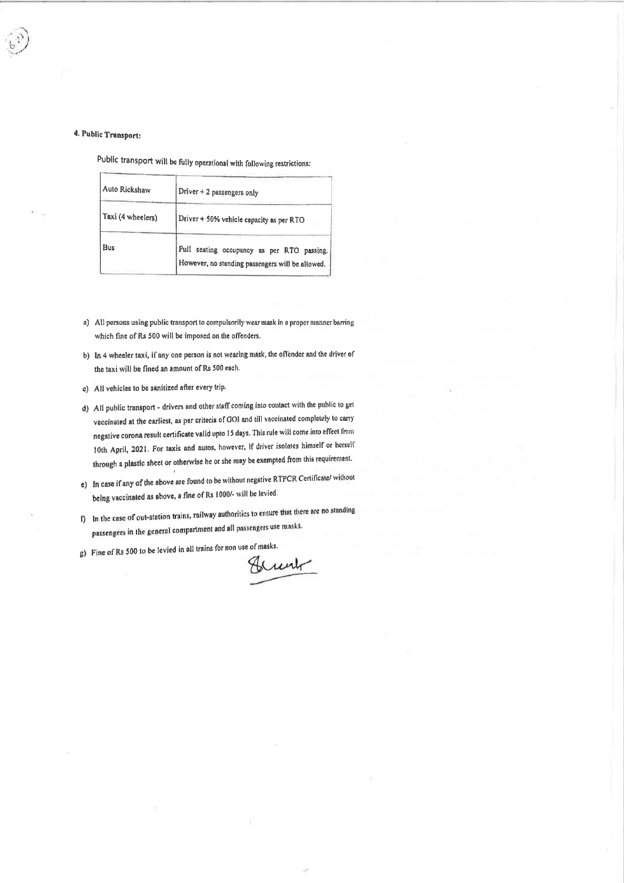## 4. Public Transport:

Public transport will be fully operational with following restrictions:

| Auto Rickshaw     | Driver + 2 passengers only                                                                          |
|-------------------|-----------------------------------------------------------------------------------------------------|
| Taxi (4 wheelers) | Driver + 50% vehicle capacity as per RTO                                                            |
| <b>Bus</b>        | Puli -<br>seating occupancy as per RTO passing.<br>However, no standing passengers will be allowed. |

- a) All persons using public transport to compulsorily wear mask in a proper manner barring which fine of Rs 500 will be imposed on the offenders.
- b) In 4 wheeler taxi, if any one person is not wearing mask, the offender and the driver of the taxi will be fined an amount of Rs 500 each.
- c) All vehicles to be sanitized after every trip.
- d) All public transport drivers and other staff coming into contact with the public to get vaccinated at the earliest, as per criteria of GOI and till vaccinated completely to carry negative corona result certificate valid upto 15 days. This rule will come into effect from 10th April, 2021. For taxis and autos, however, if driver isolates himself or herself through a plastic sheet or otherwise he or she may be exempted from this requirement.
- e) In case if any of the above are found to be without negative RTPCR Certificate/ without being vaccinated as above, a fine of Rs 1000/- will be levied.
- f) In the case of out-station trains, railway authorities to ensure that there are no standing passengers in the general compartment and all passengers use masks.
- g) Fine of Rs 500 to be levied in all trains for non use of masks.

Bunk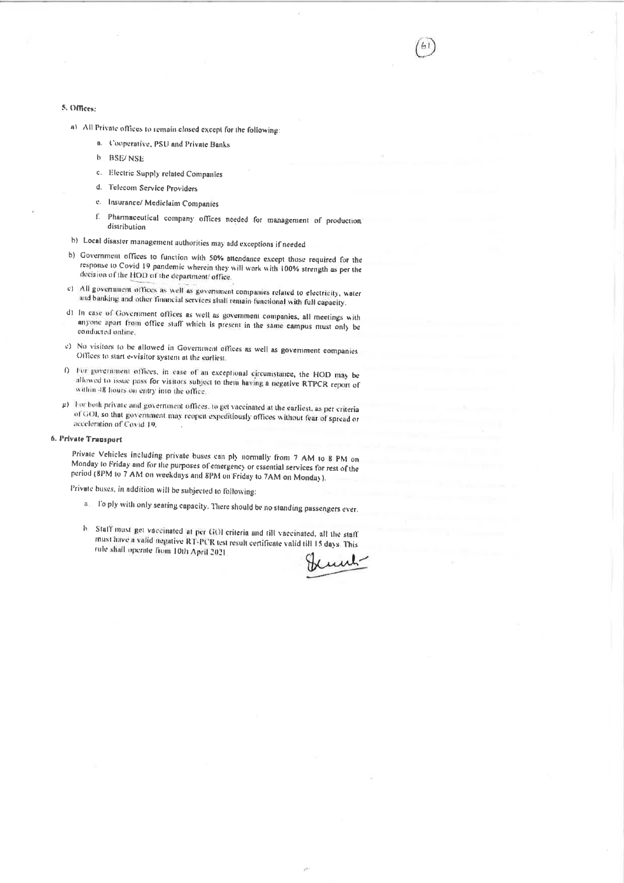### 5. Offices:

- a) All Private offices to remain closed except for the following:
	- n. Cooperative, PSU and Private Banks
	- $\mathbf{b}$ **BSE/NSF**
	- c. Electric Supply related Companies
	- d. Telecom Service Providers
	- e. Insurance/ Mediclaim Companies
	- f. Pharmaceutical company offices needed for management of production distribution
- b) Local disaster management authorities may add exceptions if needed
- b) Government offices to function with 50% attendance except those required for the response to Covid 19 pandemic wherein they will work with 100% strength as per the decision of the HOD of the department/ office.
- c) All government offices as well as government companies related to electricity, water and banking and other financial services shall remain functional with full capacity.
- d) In case of Government offices as well as government companies, all meetings with anyone apart from office staff which is present in the same campus must only be conducted online.
- e) No visitors to be allowed in Government offices as well as government companies Offices to start e-visitor system at the earliest.
- f) For government offices, in case of an exceptional circumstance, the HOD may be allowed to issue pass for visitors subject to them having a negative RTPCR report of within 48 hours on entry into the office.
- g) For both private and government offices, to get vaccinated at the earliest, as per criteria of GOI, so that government may reopen expeditiously offices without fear of spread or acceleration of Covid 19.

#### 6. Private Transport

Private Vehicles including private buses can ply normally from 7 AM to 8 PM on Monday to Friday and for the purposes of emergency or essential services for rest of the period (8PM to 7 AM on weekdays and 8PM on Friday to 7AM on Monday).

Private buses, in addition will be subjected to following:

- a. To ply with only seating capacity. There should be no standing passengers ever.
- b. Staff must get vaccinated at per GOI criteria and till vaccinated, all the staff must have a valid negative RT-PCR test result certificate valid till 15 days. This rule shall operate from 10th April 2021.

unh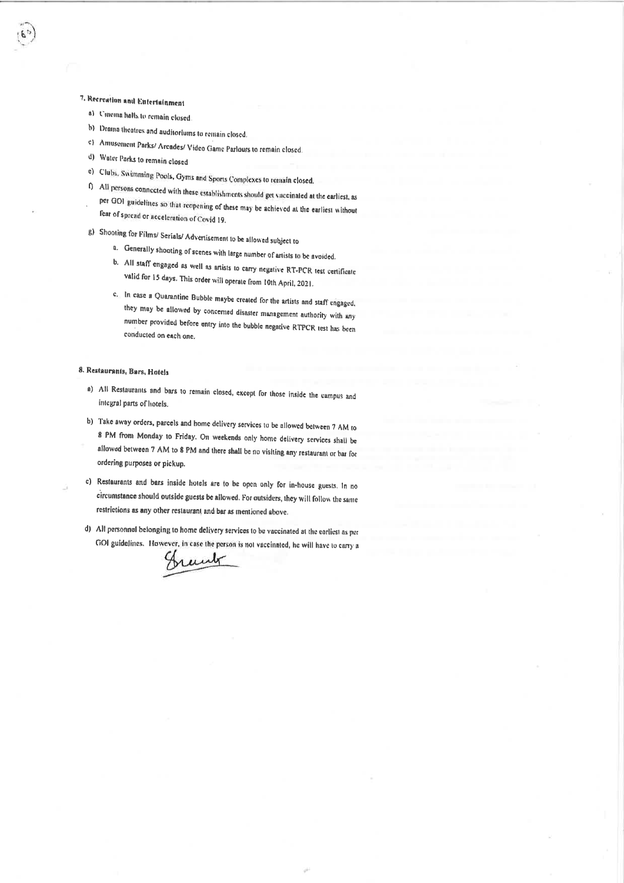## 7. Recreation and Entertainment

- a) Univina halls to remain closed
- b) Drama theatres and auditoriums to remain closed.
- c) Annusoment Parks/ Arcades/ Video Game Parlours to remain closed
- d) Water Parks to remain closed
- e) Clubs, Swimming Pools, Gyms and Sports Complexes to remain closed.
- f) All persons connected with these establishments should get vaccinated at the earliest, as per GOI guidelines so that reopening of these may be achieved at the earliest without fear of spread or acceleration of Covid 19.
- g) Shooting for Films/ Serials/ Advertisement to be allowed subject to
	- a. Generally shooting of scenes with large number of artists to be avoided.
	- b. All staff engaged as well as artists to carry negative RT-PCR test certificate valid for 15 days. This order will operate from 10th April, 2021.
	- c. In case a Quarantine Bubble maybe created for the artists and staff engaged. they may be allowed by concerned disaster management authority with any number provided before entry into the bubble negative RTPCR test has been conducted on each one.

#### 8. Restaurants, Bars, Hotels

- a) All Restaurants and bars to remain closed, except for those inside the campus and integral parts of hotels.
- b) Take away orders, parcels and home delivery services to be allowed between 7 AM to 8 PM from Monday to Friday. On weekends only home delivery services shall be allowed between 7 AM to 8 PM and there shall be no visiting any restaurant or bar for ordering purposes or pickup.
- c) Restaurants and bars inside hotels are to be open only for in-house guests. In no circumstance should outside guests be allowed. For outsiders, they will follow the same restrictions as any other restaurant and bar as mentioned above.
- d) All personnel belonging to home delivery services to be vaccinated at the earliest as per GOI guidelines. However, in case the person is not vaccinated, he will have to carry a

Grant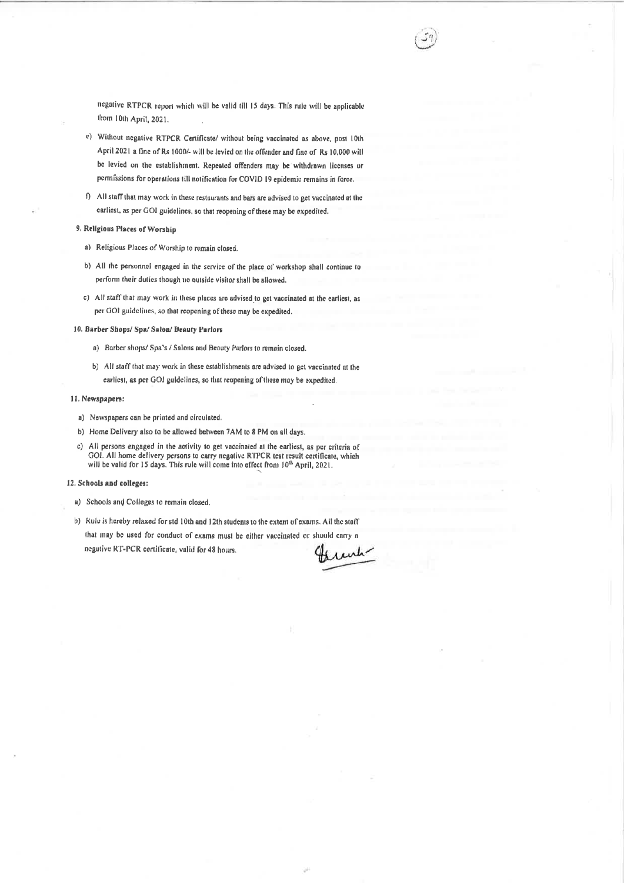negative RTPCR report which will be valid till 15 days. This rule will be applicable from 10th April, 2021.

- e) Without negative RTPCR Certificate/ without being vaccinated as above, post 10th April 2021 a fine of Rs 1000/- will be levied on the offender and fine of Rs 10,000 will be levied on the establishment. Repeated offenders may be withdrawn licenses or permissions for operations till notification for COVID 19 epidemic remains in force.
- f) All staff that may work in these restaurants and bars are advised to get vaccinated at the earliest, as per GOI guidelines, so that reopening of these may be expedited.

#### 9. Religious Places of Worship

- a) Religious Places of Worship to remain closed.
- b) All the personnel engaged in the service of the place of workshop shall continue to perform their duties though no outside visitor shall be allowed.
- c) All staff that may work in these places are advised to get vaccinated at the earliest, as per GOI guidelines, so that reopening of these may be expedited.

#### 10. Barber Shops/ Spa/ Salon/ Beauty Parlors

- a) Barber shops/ Spa's / Salons and Beauty Parlors to remain closed.
- b) All staff that may work in these establishments are advised to get vaccinated at the earliest, as per GOI guidelines, so that reopening of these may be expedited.

#### 11. Newspapers:

- a) Newspapers can be printed and circulated.
- b) Home Delivery also to be allowed between 7AM to 8 PM on all days.
- c) All persons engaged in the activity to get vaccinated at the earliest, as per criteria of GOI. All home delivery persons to carry negative RTPCR test result certificate, which will be valid for 15 days. This rule will come into effect from 10<sup>th</sup> April, 2021.

#### 12. Schools and colleges:

- a) Schools and Colleges to remain closed.
- b) Rule is hereby relaxed for std 10th and 12th students to the extent of exams. All the staff that may be used for conduct of exams must be either vaccinated or should carry a negative RT-PCR certificate, valid for 48 hours.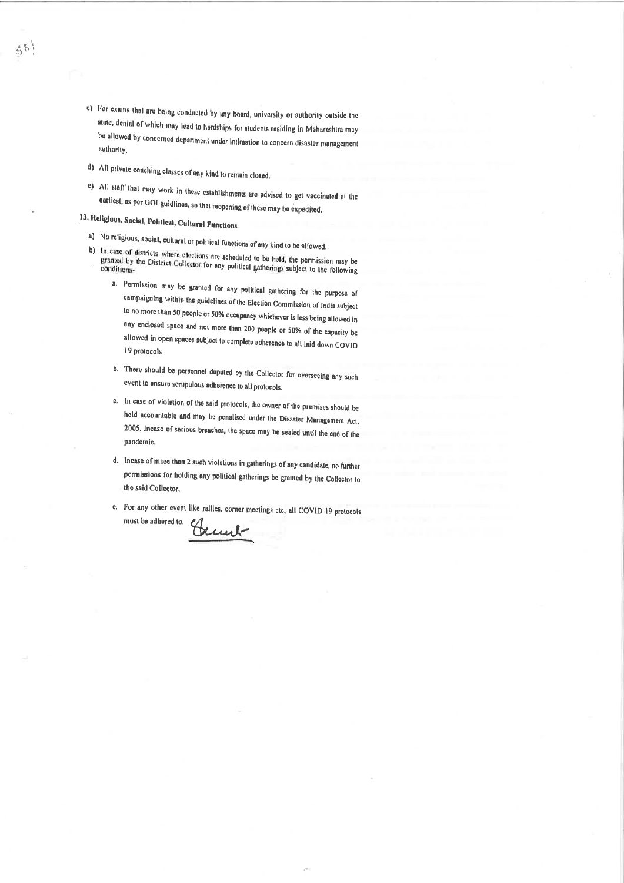- c) For exams that are being conducted by any board, university or authority outside the state, denial of which may lead to hardships for students residing in Maharashtra may be allowed by concerned department under intimation to concern disaster management authority.
- d) All private coaching classes of any kind to remain closed.
- e) All staff that may work in these establishments are advised to get vaccinated at the carliest, as per GOI guidlines, so that reopening of these may be expedited.

## 13. Religious, Social, Political, Cultural Functions

58

- a) No religious, social, cultural or political functions of any kind to be allowed.
- b) In case of districts where elections are scheduled to be held, the permission may be granted by the District Collector for any political gatherings subject to the following
	- a. Permission may be granted for any political gathering for the purpose of campaigning within the guidelines of the Election Commission of India subject to no more than 50 people or 50% occupancy whichever is less being allowed in any enclosed space and not more than 200 people or 50% of the capacity be allowed in open spaces subject to complete adherence to all laid down COVID 19 protocols
	- b. There should be personnel deputed by the Collector for overseeing any such event to ensure scrupulous adherence to all protocols.
	- c. In case of violation of the said protocols, the owner of the premises should be held accountable and may be penalised under the Disaster Management Act, 2005. Incase of serious breaches, the space may be sealed until the and of the pandemic.
	- d. Incase of more than 2 such violations in gatherings of any candidate, no further permissions for holding any political gatherings be granted by the Collector to the said Collector.
	- e. For any other event like rallies, corner meetings etc, all COVID 19 protocols must be adhered to.

Bened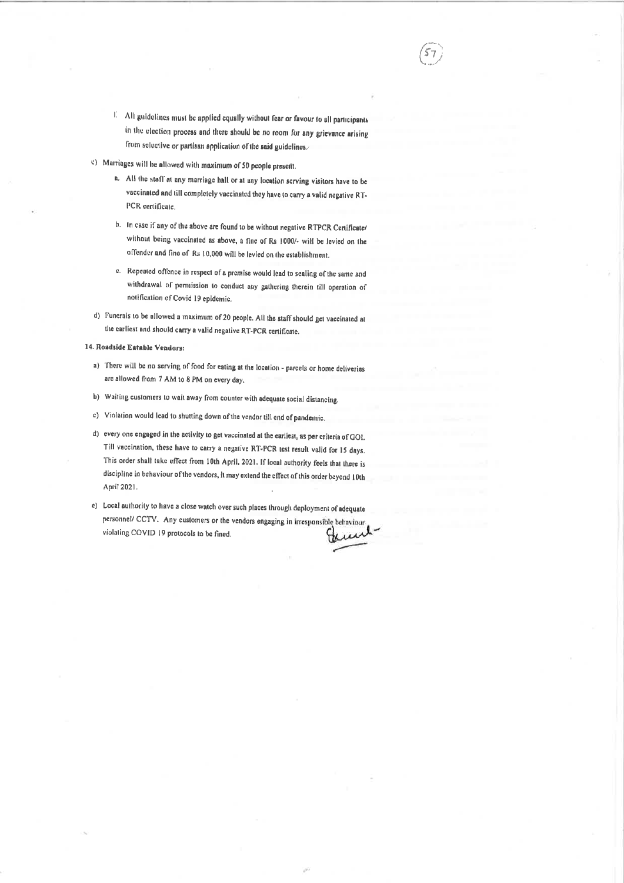- 1. All guidelines must be applied equally without fear or favour to all participants in the election process and there should be no room for any grievance arising from selective or partisan application of the said guidelines.
- c) Marriages will be allowed with maximum of 50 people present.
	- a. All the staff at any marriage hall or at any location serving visitors have to be vaccinated and till completely vaccinated they have to carry a valid negative RT-PCR certificate.
	- b. In case if any of the above are found to be without negative RTPCR Certificate/ without being vaccinated as above, a fine of Rs 1000/- will be levied on the offender and fine of Rs 10,000 will be levied on the establishment.
	- c. Repeated offence in respect of a premise would lead to sealing of the same and withdrawal of permission to conduct any gathering therein till operation of notification of Covid 19 epidemic.
- d) Funerals to be allowed a maximum of 20 people. All the staff should get vaccinated at the earliest and should carry a valid negative RT-PCR certificate.

#### 14. Roadside Eatable Vendars:

- a) There will be no serving of food for eating at the location parcels or home deliveries arc allowed from 7 AM to 8 PM on every day.
- b) Waiting customers to wait away from counter with adequate social distancing.
- c) Violation would lead to shutting down of the vendor till end of pandemic.
- d) every one engaged in the activity to get vaccinated at the earliest, as per criteria of GOI. Till vaccination, these have to carry a negative RT-PCR test result valid for 15 days. This order shall take effect from 10th April, 2021. If local authority feels that there is discipline in behaviour of the vendors, it may extend the effect of this order beyond 10th April 2021.
- c) Local authority to have a close watch over such places through deployment of adequate personnel/ CCTV. Any customers or the vendors engaging in irresponsible behaviour violating COVID 19 protocols to be fined. w ۳М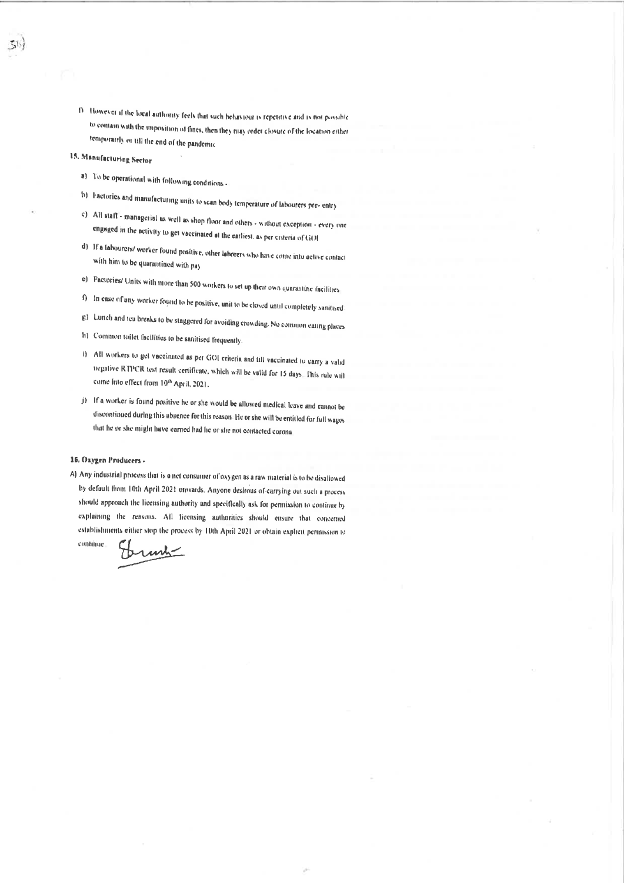13. However if the local authority feels that such behaviour is repetitive and is not possible to contain with the imposition of fines, then they may order closure of the location either temporarily or till the end of the pandemic

## 15. Manufacturing Sector

- a) To be operational with following conditions -
- b) Factories and manufacturing units to scan body temperature of labourers pre- entry
- c) All staff managerial as well as shop floor and others without exception every one engaged in the activity to get vaccinated at the earliest, as per criteria of GOI
- d) If a labourers/ worker found positive, other laborers who have come into active contact with him to be quarantined with pay
- e) Factories/ Units with more than 500 workers to set up their own quarantine facilities.
- f) In case of any worker found to be positive, unit to be closed until completely sanitised.
- g) Lunch and tea breaks to be staggered for avoiding crowding. No common eating places
- h) Common toilet facilities to be sanitised frequently.
- i) All workers to get vaccinated as per GOI criteria and till vaccinated to carry a valid negative RTPCR test result certificate, which will be valid for 15 days. This rule will come into effect from 10th April, 2021.
- j) If a worker is found positive he or she would be allowed medical leave and cannot be discontinued during this absence for this reason. He or she will be entitled for full wages that he or she might have earned had he or she not contacted corona

#### 16. Oxygen Producers -

continue

A) Any industrial process that is a net consumer of oxygen as a raw material is to be disallowed by default from 10th April 2021 onwards. Anyone desirous of carrying out such a process should approach the licensing authority and specifically ask for permission to continue by explaining the reasons. All licensing authorities should ensure that concerned establishments either stop the process by 10th April 2021 or obtain explicit permission to

runk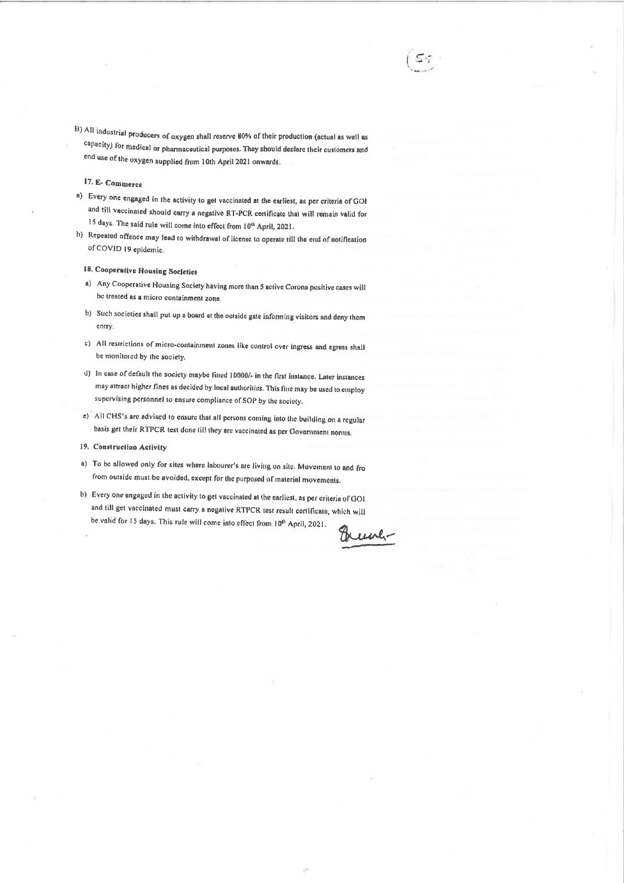B) All industrial producers of oxygen shall reserve 80% of their production (actual as well as capacity) for medical or pharmaceutical purposes. They should declare their customers and end use of the oxygen supplied from 10th April 2021 onwards.

## 17. E- Commerce

- a) Every one engaged in the activity to get vaccinated at the earliest, as per criteria of GOI and till vaccinated should carry a negative RT-PCR certificate that will remain valid for 15 days. The said rule will come into effect from 10<sup>th</sup> April, 2021.
- b) Repeated offence may lead to withdrawal of license to operate till the end of notification of COVID 19 epidemic.

## 18. Cooperative Housing Societies

- a) Any Cooperative Housing Society having more than 5 active Corona positive cases will be treated as a micro containment zone
- b) Such societies shall put up a board at the outside gate informing visitors and deny them entry.
- c) All restrictions of micro-containment zones like control over ingress and egress shall be monitored by the society.
- d) In case of default the society maybe fined 10000/- in the first instance. Later instances may attract higher fines as decided by local authorities. This fine may be used to employ supervising personnel to ensure compliance of SOP by the society.
- e) All CHS's are advised to ensure that all persons coming into the building on a regular basis get their RTPCR test done till they are vaccinated as per Government norms.
- 19. Construction Activity
- a) To be allowed only for sites where labourer's are living on site. Movement to and fro from outside must be avoided, except for the purposed of material movements.
- b) Every one engaged in the activity to get vaccinated at the earliest, as per criteria of GOI and till get vaccinated must carry a negative RTPCR test result certificate, which will be valid for 15 days. This rule will come into effect from 10<sup>th</sup> April, 2021.

Hune-